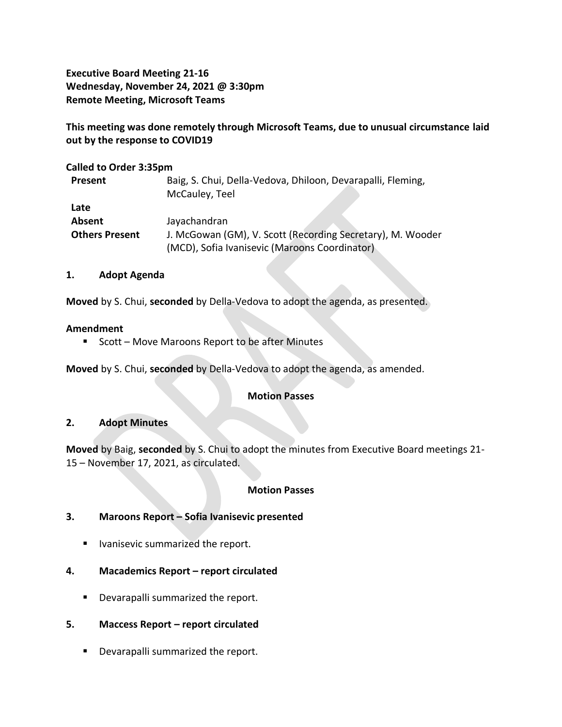**Executive Board Meeting 21-16 Wednesday, November 24, 2021 @ 3:30pm Remote Meeting, Microsoft Teams**

**This meeting was done remotely through Microsoft Teams, due to unusual circumstance laid out by the response to COVID19**

**Called to Order 3:35pm Present** Baig, S. Chui, Della-Vedova, Dhiloon, Devarapalli, Fleming, McCauley, Teel **Late Absent** Jayachandran **Others Present** J. McGowan (GM), V. Scott (Recording Secretary), M. Wooder (MCD), Sofia Ivanisevic (Maroons Coordinator)

### **1. Adopt Agenda**

**Moved** by S. Chui, **seconded** by Della-Vedova to adopt the agenda, as presented.

### **Amendment**

■ Scott – Move Maroons Report to be after Minutes

**Moved** by S. Chui, **seconded** by Della-Vedova to adopt the agenda, as amended.

#### **Motion Passes**

#### **2. Adopt Minutes**

**Moved** by Baig, **seconded** by S. Chui to adopt the minutes from Executive Board meetings 21- 15 – November 17, 2021, as circulated.

## **Motion Passes**

## **3. Maroons Report – Sofia Ivanisevic presented**

- Ivanisevic summarized the report.
- **4. Macademics Report – report circulated** 
	- Devarapalli summarized the report.

## **5. Maccess Report – report circulated**

■ Devarapalli summarized the report.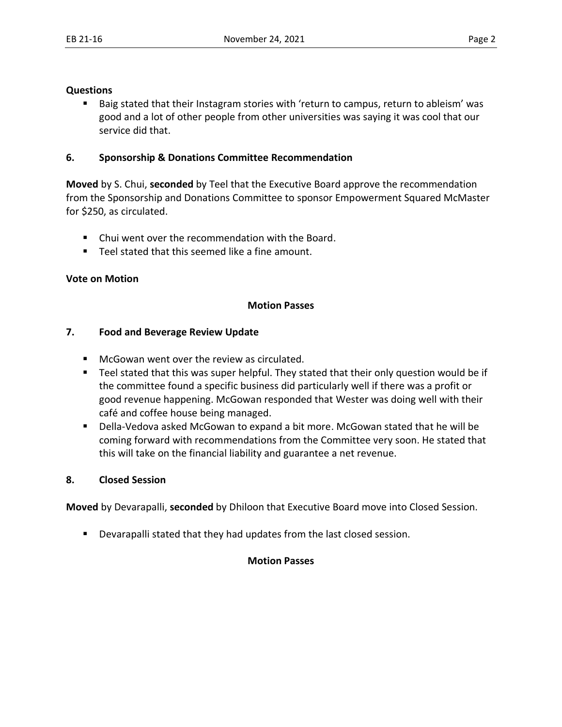### **Questions**

■ Baig stated that their Instagram stories with 'return to campus, return to ableism' was good and a lot of other people from other universities was saying it was cool that our service did that.

## **6. Sponsorship & Donations Committee Recommendation**

**Moved** by S. Chui, **seconded** by Teel that the Executive Board approve the recommendation from the Sponsorship and Donations Committee to sponsor Empowerment Squared McMaster for \$250, as circulated.

- Chui went over the recommendation with the Board.
- Teel stated that this seemed like a fine amount.

### **Vote on Motion**

### **Motion Passes**

### **7. Food and Beverage Review Update**

- McGowan went over the review as circulated.
- Teel stated that this was super helpful. They stated that their only question would be if the committee found a specific business did particularly well if there was a profit or good revenue happening. McGowan responded that Wester was doing well with their café and coffee house being managed.
- Della-Vedova asked McGowan to expand a bit more. McGowan stated that he will be coming forward with recommendations from the Committee very soon. He stated that this will take on the financial liability and guarantee a net revenue.

## **8. Closed Session**

**Moved** by Devarapalli, **seconded** by Dhiloon that Executive Board move into Closed Session.

■ Devarapalli stated that they had updates from the last closed session.

## **Motion Passes**